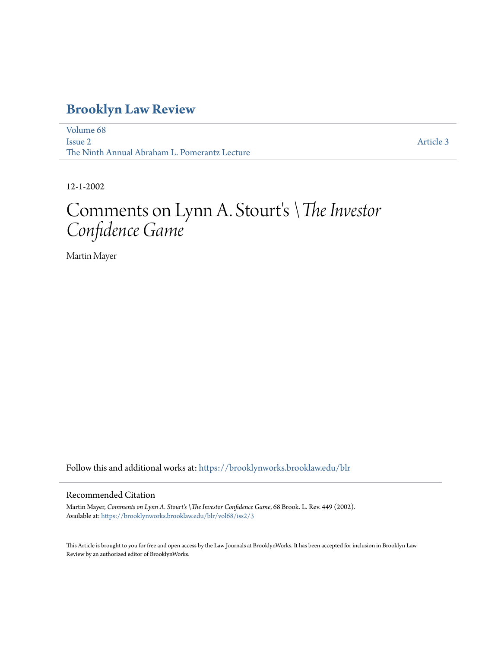# **[Brooklyn Law Review](https://brooklynworks.brooklaw.edu/blr?utm_source=brooklynworks.brooklaw.edu%2Fblr%2Fvol68%2Fiss2%2F3&utm_medium=PDF&utm_campaign=PDFCoverPages)**

[Volume 68](https://brooklynworks.brooklaw.edu/blr/vol68?utm_source=brooklynworks.brooklaw.edu%2Fblr%2Fvol68%2Fiss2%2F3&utm_medium=PDF&utm_campaign=PDFCoverPages) [Issue 2](https://brooklynworks.brooklaw.edu/blr/vol68/iss2?utm_source=brooklynworks.brooklaw.edu%2Fblr%2Fvol68%2Fiss2%2F3&utm_medium=PDF&utm_campaign=PDFCoverPages) The Ninth Annual Abraham L. Pomerantz Lecture

[Article 3](https://brooklynworks.brooklaw.edu/blr/vol68/iss2/3?utm_source=brooklynworks.brooklaw.edu%2Fblr%2Fvol68%2Fiss2%2F3&utm_medium=PDF&utm_campaign=PDFCoverPages)

12-1-2002

# Comments on Lynn A. Stourt' s*\The Investor Confidence Game*

Martin Mayer

Follow this and additional works at: [https://brooklynworks.brooklaw.edu/blr](https://brooklynworks.brooklaw.edu/blr?utm_source=brooklynworks.brooklaw.edu%2Fblr%2Fvol68%2Fiss2%2F3&utm_medium=PDF&utm_campaign=PDFCoverPages)

#### Recommended Citation

Martin Mayer, *Comments on Lynn A. Stourt's \The Investor Confidence Game*, 68 Brook. L. Rev. 449 (2002). Available at: [https://brooklynworks.brooklaw.edu/blr/vol68/iss2/3](https://brooklynworks.brooklaw.edu/blr/vol68/iss2/3?utm_source=brooklynworks.brooklaw.edu%2Fblr%2Fvol68%2Fiss2%2F3&utm_medium=PDF&utm_campaign=PDFCoverPages)

This Article is brought to you for free and open access by the Law Journals at BrooklynWorks. It has been accepted for inclusion in Brooklyn Law Review by an authorized editor of BrooklynWorks.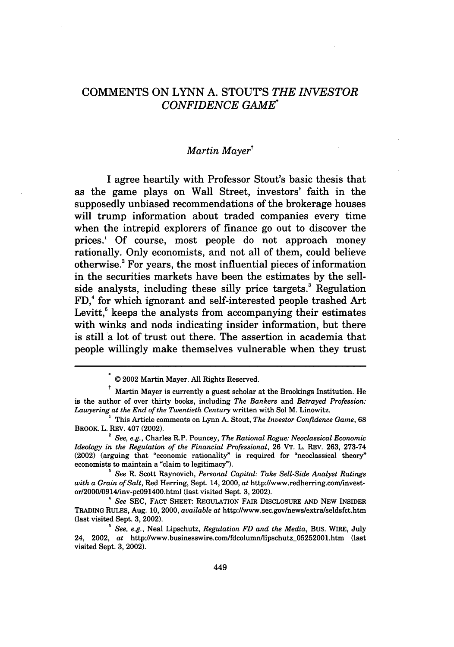## **COMMENTS ON LYNN A. STOUT'S** *THE INVESTOR CONFIDENCE GAME*

### *Martin Mayer'*

**I** agree heartily with Professor Stout's basic thesis that as the game plays on Wall Street, investors' faith in the supposedly unbiased recommendations of the brokerage houses will trump information about traded companies every time when the intrepid explorers of finance go out to discover the prices.1 **Of** course, most people do not approach money rationally. Only economists, and not all of them, could believe otherwise. For years, the most influential pieces of information in the securities markets have been the estimates **by** the sellside analysts, including these silly price targets.' Regulation FD,' for which ignorant and self-interested people trashed Art Levitt, $5$  keeps the analysts from accompanying their estimates with winks and nods indicating insider information, but there is still a lot of trust out there. The assertion in academia that people willingly make themselves vulnerable when they trust

<sup>© 2002</sup> Martin Mayer. All Rights Reserved.

Martin Mayer is currently a guest scholar at the Brookings Institution. He is the author of over thirty books, including *The Bankers* and *Betrayed Profession: Lawyering at the End of the Twentieth Century* written with Sol M. Linowitz. **<sup>1</sup>**This Article comments on Lynn A. Stout, *The Investor Confidence Game,* <sup>68</sup>

BROOK. L. REV. 407 (2002).

*<sup>2</sup> See, e.g.,* Charles R.P. Pouncey, *The Rational Rogue: Neoclassical Economic Ideology in the Regulation of the Financial Professional,* 26 VT. L. REV. 263, 273-74 (2002) (arguing that "economic rationality" is required for "neoclassical theory" economists to maintain a "claim to legitimacy").

*<sup>3</sup>See* R. Scott Raynovich, *Personal Capital: Take Sell-Side Analyst Ratings with a Grain of Salt,* Red Herring, Sept. 14, 2000, *at* http://www.redherring.com/investor/2000/0914Iinv-pc091400.html (last visited Sept. 3, 2002).

*<sup>4</sup>See* SEC, FACT SHEET: REGULATION FAIR DISCLOSURE **AND NEW** INSIDER TRADING RULES, Aug. 10, 2000, *available at* http://www.sec.gov/news/extra/seldsfct.htm (last visited Sept. 3, 2002).

*<sup>&#</sup>x27; See, e.g.,* Neal Lipschutz, *Regulation FD and the Media,* BUS. WIRE, July 24, 2002, *at* http://www.businesswire.com/fdcolumn/lipschutz-05252001.htm (last visited Sept. 3, 2002).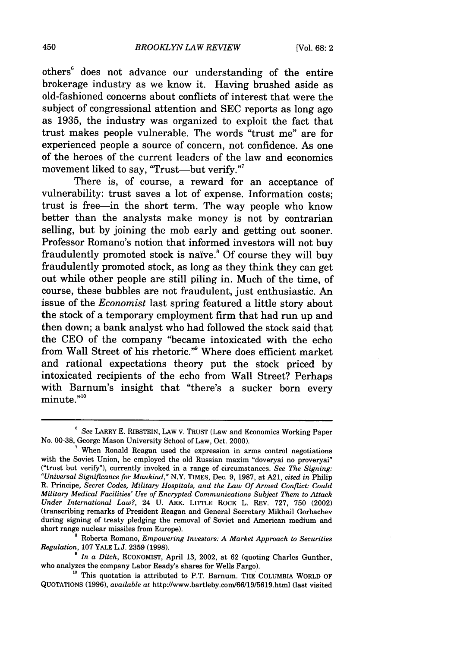others<sup>6</sup> does not advance our understanding of the entire brokerage industry as we know it. Having brushed aside as old-fashioned concerns about conflicts of interest that were the subject of congressional attention and SEC reports as long ago as 1935, the industry was organized to exploit the fact that trust makes people vulnerable. The words "trust me" are for experienced people a source of concern, not confidence. As one of the heroes of the current leaders of the law and economics movement liked to say, "Trust—but verify."

There is, of course, a reward for an acceptance of vulnerability: trust saves a lot of expense. Information costs; trust is free-in the short term. The way people who know better than the analysts make money is not by contrarian selling, but by joining the mob early and getting out sooner. Professor Romano's notion that informed investors will not buy fraudulently promoted stock is naïve.<sup>8</sup> Of course they will buy fraudulently promoted stock, as long as they think they can get out while other people are still piling in. Much of the time, of course, these bubbles are not fraudulent, just enthusiastic. An issue of the *Economist* last spring featured a little story about the stock of a temporary employment firm that had run up and then down; a bank analyst who had followed the stock said that the CEO of the company "became intoxicated with the echo from Wall Street of his rhetoric."9 Where does efficient market and rational expectations theory put the stock priced by intoxicated recipients of the echo from Wall Street? Perhaps with Barnum's insight that "there's a sucker born every minute."<sup>10</sup>

*<sup>&#</sup>x27; See* LARRY E. RIBSTEIN, LAW V. TRUST (Law and Economics Working Paper No. 00-38, George Mason University School of Law, Oct. 2000).

**<sup>7</sup>**When Ronald Reagan used the expression in arms control negotiations with the Soviet Union, he employed the old Russian maxim "doveryai no proveryai" ("trust but verify"), currently invoked in a range of circumstances. *See The Signing: "Universal Significance for Mankind,"* N.Y. TIMES, Dec. 9, 1987, at A21, *cited in* Philip R. Principe, *Secret Codes, Military Hospitals, and the Law Of Armed Conflict: Could Military Medical Facilities' Use of Encrypted Communications Subject Them to Attack Under International Law?,* 24 **U.** ARK. LITTLE ROCK L. REV. 727, 750 (2002) (transcribing remarks of President Reagan and General Secretary Mikhail Gorbachev during signing of treaty pledging the removal of Soviet and American medium and short range nuclear missiles from Europe).

**<sup>8</sup>**Roberta Romano, *Empowering Investors: A Market Approach to Securities Regulation,* 107 YALE L.J. 2359 (1998).

*In a Ditch, ECONOMIST, April 13, 2002, at 62 (quoting Charles Gunther,* who analyzes the company Labor Ready's shares for Wells Fargo).<br><sup>10</sup> This quotation is attributed to P.T. Barnum. THE COLUMBIA WORLD OF

QUOTATIONS (1996), *available at* http://www.bartleby.com/66/19/5619.html (last visited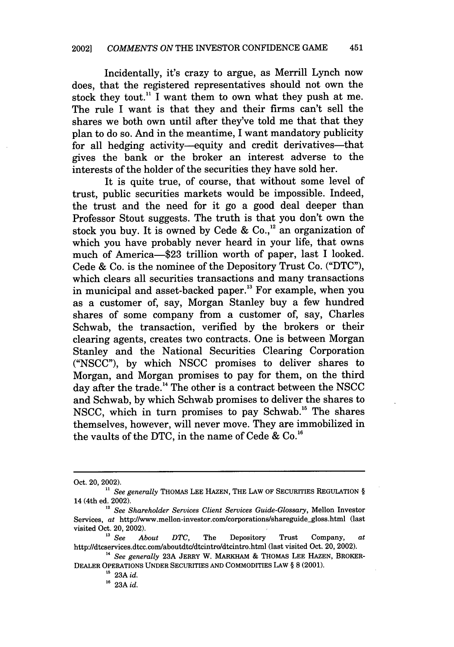Incidentally, it's crazy to argue, as Merrill Lynch now does, that the registered representatives should not own the stock they tout.<sup>11</sup> I want them to own what they push at me. The rule I want is that they and their firms can't sell the shares we both own until after they've told me that that they plan to do so. And in the meantime, I want mandatory publicity for all hedging activity-equity and credit derivatives-that gives the bank or the broker an interest adverse to the interests of the holder of the securities they have sold her.

It is quite true, of course, that without some level of trust, public securities markets would be impossible. Indeed, the trust and the need for it go a good deal deeper than Professor Stout suggests. The truth is that you don't own the stock you buy. It is owned by Cede & Co.<sup>12</sup> an organization of which you have probably never heard in your life, that owns much of America-\$23 trillion worth of paper, last I looked. Cede & Co. is the nominee of the Depository Trust Co. ("DTC"), which clears all securities transactions and many transactions in municipal and asset-backed paper.<sup>13</sup> For example, when you as a customer of, say, Morgan Stanley buy a few hundred shares of some company from a customer of, say, Charles Schwab, the transaction, verified by the brokers or their clearing agents, creates two contracts. One is between Morgan Stanley and the National Securities Clearing Corporation ("NSCC"), by which NSCC promises to deliver shares to Morgan, and Morgan promises to pay for them, on the third day after the trade.<sup>14</sup> The other is a contract between the NSCC and Schwab, by which Schwab promises to deliver the shares to NSCC, which in turn promises to pay Schwab." The shares themselves, however, will never move. They are immobilized in the vaults of the DTC, in the name of Cede & Co.'6

Oct. 20, 2002).

<sup>&</sup>lt;sup>11</sup> See generally THOMAS LEE HAZEN, THE LAW OF SECURITIES REGULATION § 14 (4th ed. 2002).

*<sup>12</sup> See Shareholder Services Client Services Guide-Glossary,* Mellon Investor Services, *at* http://www.mellon-investor.com/corporations/shareguide-gloss.html (last visited Oct. 20, 2002).<br> $V^{13}$  See Al

*About DTC*, The Depository Trust Company, *at* http://dtcservices.dtcc.com/aboutdtc/dtcintro/dtcintro.html (last visited Oct. 20, 2002).

**<sup>14</sup>** *See generally* 23A JERRY W. MARKHAM *&* THOMAS LEE HAZEN, BROKER-DEALER OPERATIONS UNDER SECURITIES AND COMMODITIES LAw § **8** (2001).

**<sup>15</sup>**23A *id.*

**<sup>16</sup>** 23A *id.*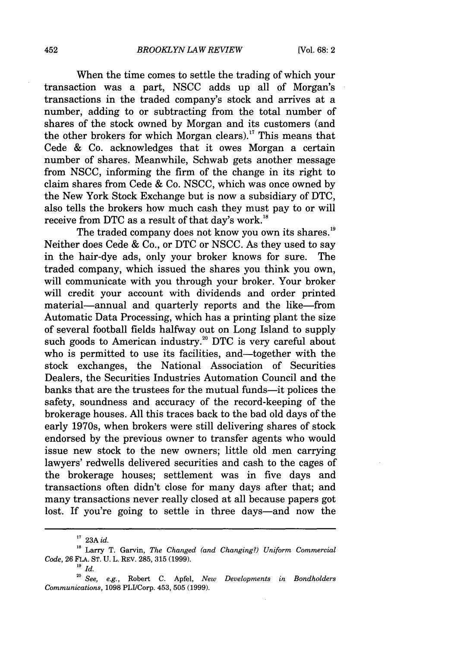When the time comes to settle the trading of which your transaction was a part, NSCC adds up all of Morgan's transactions in the traded company's stock and arrives at a number, adding to or subtracting from the total number of shares of the stock owned by Morgan and its customers (and the other brokers for which Morgan clears).<sup>17</sup> This means that Cede & Co. acknowledges that it owes Morgan a certain number of shares. Meanwhile, Schwab gets another message from NSCC, informing the firm of the change in its right to claim shares from Cede & Co. NSCC, which was once owned by the New York Stock Exchange but is now a subsidiary of DTC, also tells the brokers how much cash they must pay to or will receive from DTC as a result of that day's work.<sup>18</sup>

The traded company does not know you own its shares.<sup>19</sup> Neither does Cede & Co., or DTC or NSCC. As they used to say in the hair-dye ads, only your broker knows for sure. The traded company, which issued the shares you think you own, will communicate with you through your broker. Your broker will credit your account with dividends and order printed material—annual and quarterly reports and the like—from Automatic Data Processing, which has a printing plant the size of several football fields halfway out on Long Island to supply such goods to American industry.<sup>20</sup> DTC is very careful about who is permitted to use its facilities, and—together with the stock exchanges, the National Association of Securities Dealers, the Securities Industries Automation Council and the banks that are the trustees for the mutual funds-it polices the safety, soundness and accuracy of the record-keeping of the brokerage houses. All this traces back to the bad old days of the early 1970s, when brokers were still delivering shares of stock endorsed by the previous owner to transfer agents who would issue new stock to the new owners; little old men carrying lawyers' redwells delivered securities and cash to the cages of the brokerage houses; settlement was in five days and transactions often didn't close for many days after that; and many transactions never really closed at all because papers got lost. If you're going to settle in three days—and now the

**<sup>17</sup>**23A *id.*

**<sup>18</sup>**Larry T. Garvin, *The Changed (and Changing?) Uniform Commercial Code,* 26 FLA. ST. U. L. REV. 285, 315 (1999).

**<sup>19</sup>** *Id.*

*<sup>20</sup> See, e.g.,* Robert C. Apfel, *New Developments in Bondholders Communications,* 1098 PLI/Corp. 453, 505 (1999).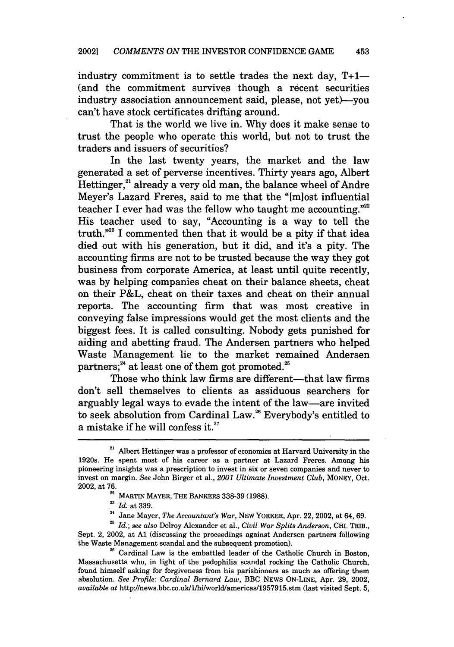industry commitment is to settle trades the next day,  $T+1$ -(and the commitment survives though a recent securities industry association announcement said, please, not yet)—you can't have stock certificates drifting around.

That is the world we live in. Why does it make sense to trust the people who operate this world, but not to trust the traders and issuers of securities?

In the last twenty years, the market and the law generated a set of perverse incentives. Thirty years ago, Albert Hettinger,<sup>21</sup> already a very old man, the balance wheel of Andre Meyer's Lazard Freres, said to me that the "[miost influential teacher I ever had was the fellow who taught me accounting."<sup>22</sup> His teacher used to say, "Accounting is a way to tell the truth."23 I commented then that it would be a pity if that idea died out with his generation, but it did, and it's a pity. The accounting firms are not to be trusted because the way they got business from corporate America, at least until quite recently, was by helping companies cheat on their balance sheets, cheat on their P&L, cheat on their taxes and cheat on their annual reports. The accounting firm that was most creative in conveying false impressions would get the most clients and the biggest fees. It is called consulting. Nobody gets punished for aiding and abetting fraud. The Andersen partners who helped Waste Management lie to the market remained Andersen partners; $^{24}$  at least one of them got promoted.<sup>25</sup>

Those who think law firms are different-that law firms don't sell themselves to clients as assiduous searchers for arguably legal ways to evade the intent of the law-are invited to seek absolution from Cardinal Law. 26 Everybody's entitled to a mistake if he will confess it. $27$ 

Sept. 2, 2002, at **Al** (discussing the proceedings against Andersen partners following the Waste Management scandal and the subsequent promotion).

<sup>26</sup> Cardinal Law is the embattled leader of the Catholic Church in Boston, Massachusetts who, in light of the pedophilia scandal rocking the Catholic Church, found himself asking for forgiveness from his parishioners as much as offering them absolution. *See Profile: Cardinal Bernard Law,* **BBC NEWS** ON-LINE, Apr. **29,** 2002, *available at* http://news.bbc.co.uk/1/hi/world/americas/1957915.stm (last visited Sept. **5,**

 $21$  Albert Hettinger was a professor of economics at Harvard University in the 1920s. He spent most of his career as a partner at Lazard Freres. Among his pioneering insights was a prescription to invest in six or seven companies and never to invest on margin. *See* John Birger et al., *2001 Ultimate Investment Club,* MONEY, Oct. 2002, at 76.

**<sup>22</sup> MARTIN MAYER, THE** BANKERS 338-39 **(1988). <sup>23</sup>***Id.* at **339.**

**<sup>24</sup>**Jane Mayer, *The Accountant's War,* **NEW YORKER,** Apr. 22, 2002, at 64, **69.** *215 Id.; see also* Delroy Alexander et al., *Civil War Splits Anderson,* **CHI. TRIB.,**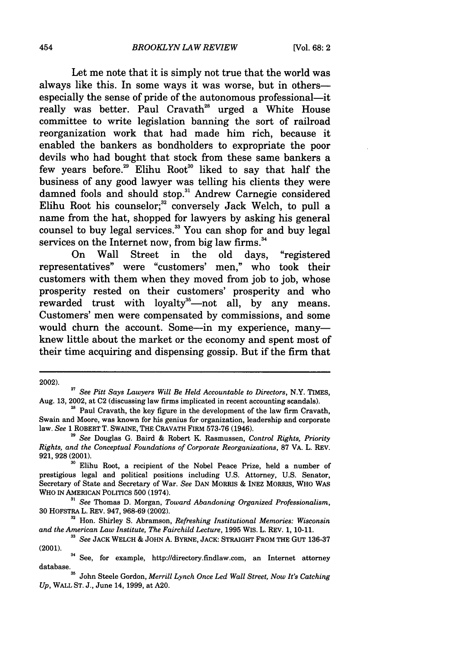Let me note that it is simply not true that the world was always like this. In some ways it was worse, but in othersespecially the sense of pride of the autonomous professional-it really was better. Paul Cravath<sup>28</sup> urged a White House committee to write legislation banning the sort of railroad reorganization work that had made him rich, because it enabled the bankers as bondholders to expropriate the poor devils who had bought that stock from these same bankers a few years before.<sup>29</sup> Elihu Root<sup>30</sup> liked to say that half the business of any good lawyer was telling his clients they were damned fools and should stop.<sup>31</sup> Andrew Carnegie considered Elihu Root his counselor;<sup>32</sup> conversely Jack Welch, to pull a name from the hat, shopped for lawyers by asking his general counsel to buy legal services.<sup>33</sup> You can shop for and buy legal services on the Internet now, from big law firms.<sup>34</sup>

On Wall Street in the old days, "registered representatives" were "customers' men," who took their customers with them when they moved from job to job, whose prosperity rested on their customers' prosperity and who rewarded trust with loyalty<sup>35</sup>—not all, by any means. Customers' men were compensated by commissions, and some would churn the account. Some-in my experience, manyknew little about the market or the economy and spent most of their time acquiring and dispensing gossip. But if the firm that

<sup>2002).</sup> *<sup>27</sup>See Pitt Says Lawyers Will Be Held Accountable to Directors,* N.Y. TIMES, Aug. 13, 2002, at C2 (discussing law firms implicated in recent accounting scandals).<br><sup>28</sup> Paul Cravath, the key figure in the development of the law firm Cravath,

Swain and Moore, was known for his genius for organization, leadership and corporate law. *See* 1 ROBERT T. SWAINE, THE CRAVATH FIRM 573-76 (1946).

*See* Douglas G. Baird & Robert K. Rasmussen, *Control Rights, Priority Rights, and the Conceptual Foundations of Corporate Reorganizations,* 87 VA. L. REV. 921,928 (2001).

**<sup>&#</sup>x27;o** Elihu Root, a recipient of the Nobel Peace Prize, held a number of prestigious legal and political positions including U.S. Attorney, U.S. Senator, Secretary of State and Secretary of War. *See* **DAN** MORRIS & INEZ MORRIS, WHO WAS WHO IN AMERICAN POLITICS **500** (1974).

*<sup>&</sup>quot; See* Thomas **D.** Morgan, *Toward Abandoning Organized Professionalism,* **30** HOFSTRA L. REV. 947, **968-69** (2002).

**<sup>32</sup>**Hon. Shirley **S.** Abramson, *Refreshing Institutional Memories: Wisconsin and the American Law Institute, The Fairchild Lecture,* **1995** WIS. L. REV. **1, 10-11.**

*<sup>&#</sup>x27;3 See* **JACK** WELCH & JOHN **A.** BYRNE, **JACK:** STRAIGHT FROM THE GuT **136-37** (2001).

<sup>&</sup>lt;sup>34</sup> See, for example, http://directory.findlaw.com, an Internet attorney database.

<sup>&</sup>lt;sup>35</sup> John Steele Gordon, *Merrill Lynch Once Led Wall Street, Now It's Catching Up,* WALL **ST. J.,** June 14, **1999,** at **A20.**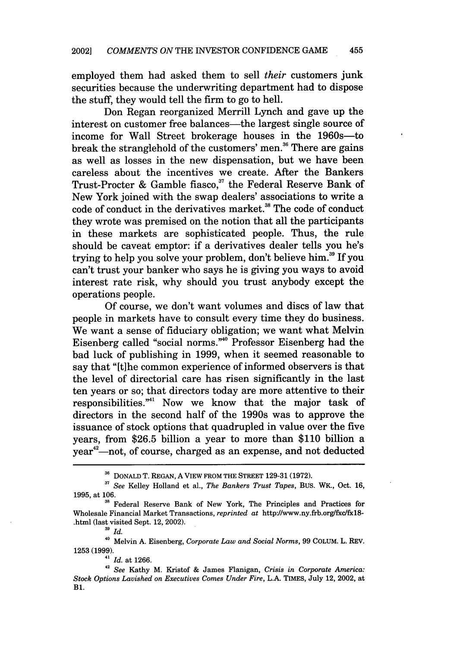employed them had asked them to sell *their* customers junk securities because the underwriting department had to dispose the stuff, they would tell the firm to go to hell.

Don Regan reorganized Merrill Lynch and gave up the interest on customer free balances—the largest single source of income for Wall Street brokerage houses in the 1960s-to break the stranglehold of the customers' men.<sup>36</sup> There are gains as well as losses in the new dispensation, but we have been careless about the incentives we create. After the Bankers Trust-Procter & Gamble fiasco,<sup>37</sup> the Federal Reserve Bank of New York joined with the swap dealers' associations to write a code of conduct in the derivatives market.<sup>38</sup> The code of conduct they wrote was premised on the notion that all the participants in these markets are sophisticated people. Thus, the rule should be caveat emptor: if a derivatives dealer tells you he's trying to help you solve your problem, don't believe him.<sup>39</sup> If you can't trust your banker who says he is giving you ways to avoid interest rate risk, why should you trust anybody except the operations people.

Of course, we don't want volumes and discs of law that people in markets have to consult every time they do business. We want a sense of fiduciary obligation; we want what Melvin Eisenberg called "social norms."4" Professor Eisenberg had the bad luck of publishing in 1999, when it seemed reasonable to say that "[t]he common experience of informed observers is that the level of directorial care has risen significantly in the last ten years or so; that directors today are more attentive to their responsibilities."41 Now we know that the major task of directors in the second half of the 1990s was to approve the issuance of stock options that quadrupled in value over the five years, from \$26.5 billion a year to more than \$110 billion a year $^{42}$ —not, of course, charged as an expense, and not deducted

<sup>&</sup>lt;sup>36</sup> DONALD T. REGAN, A VIEW FROM THE STREET 129-31 (1972).

**<sup>37</sup>***See* Kelley Holland et al., *The Bankers Trust Tapes,* BUS. WK., Oct. 16, 1995, at 106.

**<sup>38</sup>** Federal Reserve Bank of New York, The Principles and Practices for Wholesale Financial Market Transactions, *reprinted at http://www.ny.frb.org/fxc/fx18-*.html (last visited Sept. 12, 2002).

**<sup>39</sup>** *Id.*

<sup>40</sup> Melvin A. Eisenberg, *Corporate Law and Social Norms,* 99 COLUM. L. REV. 1253 (1999).

**<sup>41</sup>***Id.* at 1266.

**<sup>42</sup>***See* Kathy M. Kristof & James Flanigan, *Crisis in Corporate America: Stock Options Lavished on Executives Comes Under Fire,* L.A. TIMES, July 12, 2002, at B1.